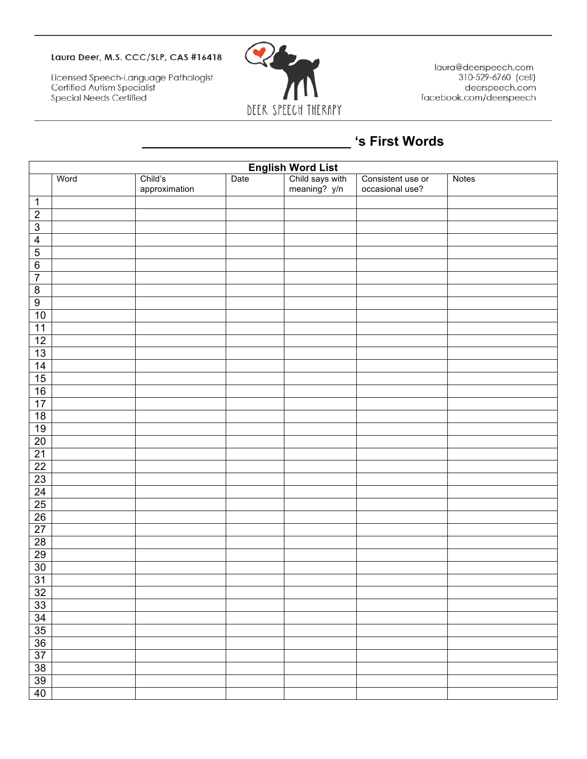## Laura Deer, M.S. CCC/SLP, CAS #16418

Licensed Speech-Language Pathologist<br>Certified Autism Specialist Special Needs Certified



laura@deerspeech.com 310-529-6760 (cell) deerspeech.com facebook.com/deerspeech

## **\_\_\_\_\_\_\_\_\_\_\_\_\_\_\_\_\_\_\_\_\_\_\_\_\_\_\_\_ 's First Words**

| English Word List<br>Phild says with<br>meaning? y/n |      |                          |      |  |                                      |       |  |
|------------------------------------------------------|------|--------------------------|------|--|--------------------------------------|-------|--|
|                                                      | Word | Child's<br>approximation | Date |  | Consistent use or<br>occasional use? | Notes |  |
| $\mathbf{1}$                                         |      |                          |      |  |                                      |       |  |
| $\overline{2}$                                       |      |                          |      |  |                                      |       |  |
| $\overline{\omega}$                                  |      |                          |      |  |                                      |       |  |
| $\overline{4}$                                       |      |                          |      |  |                                      |       |  |
| $\overline{5}$                                       |      |                          |      |  |                                      |       |  |
| $6\overline{6}$                                      |      |                          |      |  |                                      |       |  |
| $\overline{7}$                                       |      |                          |      |  |                                      |       |  |
| $\,8\,$                                              |      |                          |      |  |                                      |       |  |
| $\overline{9}$                                       |      |                          |      |  |                                      |       |  |
| 10                                                   |      |                          |      |  |                                      |       |  |
| 11                                                   |      |                          |      |  |                                      |       |  |
| $\overline{12}$                                      |      |                          |      |  |                                      |       |  |
| 13                                                   |      |                          |      |  |                                      |       |  |
| $\frac{14}{15}$                                      |      |                          |      |  |                                      |       |  |
|                                                      |      |                          |      |  |                                      |       |  |
| $\frac{16}{17}$                                      |      |                          |      |  |                                      |       |  |
|                                                      |      |                          |      |  |                                      |       |  |
| 18                                                   |      |                          |      |  |                                      |       |  |
| 19                                                   |      |                          |      |  |                                      |       |  |
| $\frac{20}{21}$                                      |      |                          |      |  |                                      |       |  |
|                                                      |      |                          |      |  |                                      |       |  |
|                                                      |      |                          |      |  |                                      |       |  |
| $\frac{22}{23}$                                      |      |                          |      |  |                                      |       |  |
| $\frac{24}{25}$ $\frac{25}{26}$                      |      |                          |      |  |                                      |       |  |
|                                                      |      |                          |      |  |                                      |       |  |
|                                                      |      |                          |      |  |                                      |       |  |
| 27                                                   |      |                          |      |  |                                      |       |  |
| 28                                                   |      |                          |      |  |                                      |       |  |
| 29                                                   |      |                          |      |  |                                      |       |  |
| 30                                                   |      |                          |      |  |                                      |       |  |
| 31                                                   |      |                          |      |  |                                      |       |  |
| 32<br>Г                                              |      |                          |      |  |                                      |       |  |
| 33                                                   |      |                          |      |  |                                      |       |  |
| 34                                                   |      |                          |      |  |                                      |       |  |
| 35                                                   |      |                          |      |  |                                      |       |  |
| 36                                                   |      |                          |      |  |                                      |       |  |
| $\overline{37}$                                      |      |                          |      |  |                                      |       |  |
| $\overline{38}$                                      |      |                          |      |  |                                      |       |  |
| 39                                                   |      |                          |      |  |                                      |       |  |
| 40                                                   |      |                          |      |  |                                      |       |  |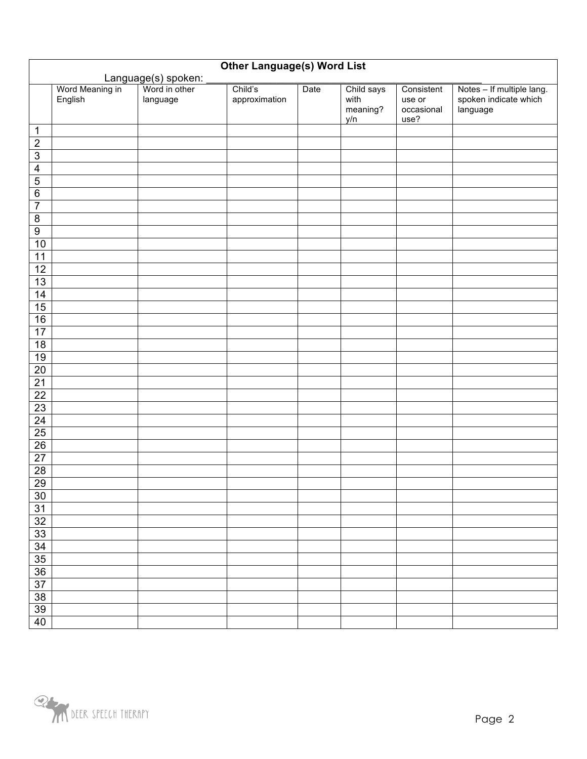| <b>Other Language(s) Word List</b> |                            |                           |                          |      |                                       |                                            |                                                                |
|------------------------------------|----------------------------|---------------------------|--------------------------|------|---------------------------------------|--------------------------------------------|----------------------------------------------------------------|
| Language(s) spoken:                |                            |                           |                          |      |                                       |                                            |                                                                |
|                                    | Word Meaning in<br>English | Word in other<br>language | Child's<br>approximation | Date | Child says<br>with<br>meaning?<br>y/n | Consistent<br>use or<br>occasional<br>use? | Notes - If multiple lang.<br>spoken indicate which<br>language |
| 1                                  |                            |                           |                          |      |                                       |                                            |                                                                |
| $\overline{2}$                     |                            |                           |                          |      |                                       |                                            |                                                                |
| $\overline{3}$                     |                            |                           |                          |      |                                       |                                            |                                                                |
| $\overline{4}$                     |                            |                           |                          |      |                                       |                                            |                                                                |
| $\overline{5}$                     |                            |                           |                          |      |                                       |                                            |                                                                |
| $\overline{6}$                     |                            |                           |                          |      |                                       |                                            |                                                                |
| $\overline{7}$                     |                            |                           |                          |      |                                       |                                            |                                                                |
| $\overline{\mathbf{8}}$            |                            |                           |                          |      |                                       |                                            |                                                                |
| $\overline{9}$                     |                            |                           |                          |      |                                       |                                            |                                                                |
| $10$                               |                            |                           |                          |      |                                       |                                            |                                                                |
| 11                                 |                            |                           |                          |      |                                       |                                            |                                                                |
| $\overline{12}$                    |                            |                           |                          |      |                                       |                                            |                                                                |
| 13                                 |                            |                           |                          |      |                                       |                                            |                                                                |
| 14                                 |                            |                           |                          |      |                                       |                                            |                                                                |
| 15                                 |                            |                           |                          |      |                                       |                                            |                                                                |
| 16                                 |                            |                           |                          |      |                                       |                                            |                                                                |
| $\overline{17}$                    |                            |                           |                          |      |                                       |                                            |                                                                |
| $\overline{18}$                    |                            |                           |                          |      |                                       |                                            |                                                                |
| 19                                 |                            |                           |                          |      |                                       |                                            |                                                                |
| $20\,$                             |                            |                           |                          |      |                                       |                                            |                                                                |
| $\overline{21}$                    |                            |                           |                          |      |                                       |                                            |                                                                |
| <b>22</b>                          |                            |                           |                          |      |                                       |                                            |                                                                |
| 23                                 |                            |                           |                          |      |                                       |                                            |                                                                |
| $\overline{24}$                    |                            |                           |                          |      |                                       |                                            |                                                                |
| 25                                 |                            |                           |                          |      |                                       |                                            |                                                                |
| 26                                 |                            |                           |                          |      |                                       |                                            |                                                                |
| $\overline{27}$                    |                            |                           |                          |      |                                       |                                            |                                                                |
| $\overline{28}$                    |                            |                           |                          |      |                                       |                                            |                                                                |
| $\overline{29}$                    |                            |                           |                          |      |                                       |                                            |                                                                |
| $30\,$                             |                            |                           |                          |      |                                       |                                            |                                                                |
| 31                                 |                            |                           |                          |      |                                       |                                            |                                                                |
| $\overline{32}$                    |                            |                           |                          |      |                                       |                                            |                                                                |
| 33                                 |                            |                           |                          |      |                                       |                                            |                                                                |
| 34                                 |                            |                           |                          |      |                                       |                                            |                                                                |
| 35                                 |                            |                           |                          |      |                                       |                                            |                                                                |
| 36                                 |                            |                           |                          |      |                                       |                                            |                                                                |
| $\overline{37}$                    |                            |                           |                          |      |                                       |                                            |                                                                |
| $\overline{38}$                    |                            |                           |                          |      |                                       |                                            |                                                                |
| 39                                 |                            |                           |                          |      |                                       |                                            |                                                                |
| 40                                 |                            |                           |                          |      |                                       |                                            |                                                                |